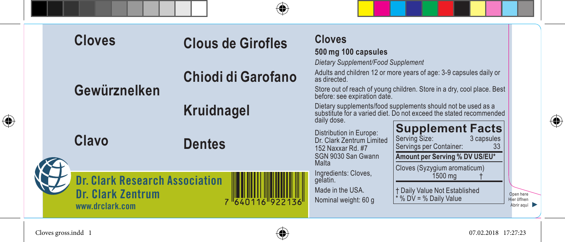|   |  | <b>Cloves</b>                                                                 | <b>Clous de Girofles</b> | <b>Cloves</b><br>500 mg 100 capsules<br>Dietary Supplement/Food Supplement                                                                         |                                                                                                                                                           |  |
|---|--|-------------------------------------------------------------------------------|--------------------------|----------------------------------------------------------------------------------------------------------------------------------------------------|-----------------------------------------------------------------------------------------------------------------------------------------------------------|--|
|   |  | Gewürznelken                                                                  | Chiodi di Garofano       | as directed.<br>before: see expiration date.                                                                                                       | Adults and children 12 or more years of age: 3-9 capsules daily or<br>Store out of reach of young children. Store in a dry, cool place. Best              |  |
| ⊕ |  |                                                                               | Kruidnagel               | daily dose.                                                                                                                                        | Dietary supplements/food supplements should not be used as a<br>substitute for a varied diet. Do not exceed the stated recommended                        |  |
|   |  | Clavo                                                                         | <b>Dentes</b>            | Distribution in Europe:<br>Dr. Clark Zentrum Limited<br>152 Naxxar Rd. #7<br>SGN 9030 San Gwann<br>Malta                                           | <b>Supplement Facts</b><br>Serving Size:<br>3 capsules<br>Servings per Container:<br>33<br>Amount per Serving % DV US/EU*<br>Cloves (Syzygium aromaticum) |  |
|   |  | <b>Dr. Clark Research Association</b><br>Dr. Clark Zentrum<br>www.drclark.com | 7 640116 922136          | Ingredients: Cloves,<br>1500 mg<br>gelatin.<br>Made in the USA.<br>† Daily Value Not Established<br>* % DV = % Daily Value<br>Nominal weight: 60 g | Open here<br>Hier öffnen<br>Abrir aguí                                                                                                                    |  |

Cloves gross.indd 1 07.02.2018 17:27:23



 $\bigoplus$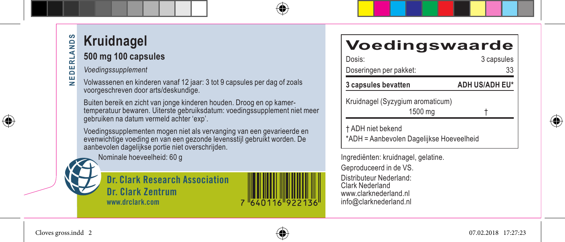## **SqM NEDERLANDS** ₹ ᇎ

품

⊕

## **Kruidnagel**

#### **500 mg 100 capsules**

*Voedingssupplement*

ш Volwassenen en kinderen vanaf 12 jaar: 3 tot 9 capsules per dag of zoals ₹ voorgeschreven door arts/deskundige.

Buiten bereik en zicht van jonge kinderen houden. Droog en op kamertemperatuur bewaren. Uiterste gebruiksdatum: voedingssupplement niet meer gebruiken na datum vermeld achter 'exp'.

Voedingssupplementen mogen niet als vervanging van een gevarieerde en evenwichtige voeding en van een gezonde levensstijl gebruikt worden. De aanbevolen dagelijkse portie niet overschrijden.

Nominale hoeveelheid: 60 g

**Dr. Clark Research Association Dr. Clark Zentrum www.drclark.com**



## **Voedingswaarde**

| Dosis:                                                        | 3 capsules            |  |
|---------------------------------------------------------------|-----------------------|--|
| Doseringen per pakket:                                        | 33                    |  |
| 3 capsules bevatten                                           | <b>ADH US/ADH EU*</b> |  |
| Kruidnagel (Syzygium aromaticum)<br>1500 mg                   |                       |  |
| † ADH niet bekend<br>*ADH = Aanbevolen Dagelijkse Hoeveelheid |                       |  |

Ingrediënten: kruidnagel, gelatine. Geproduceerd in de VS. Distributeur Nederland: Clark Nederland www.clarknederland.nl info@clarknederland.nl



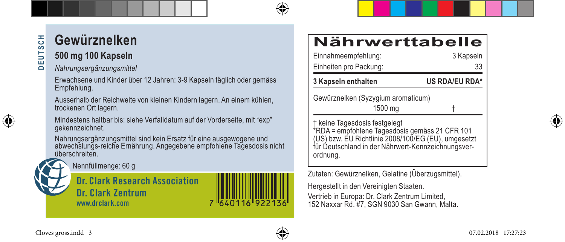#### **Gewürznelken** 풍 **DEUTSCH DEUTS**

#### **500 mg 100 Kapseln**

#### *Nahrungsergänzungsmittel*

Erwachsene und Kinder über 12 Jahren: 3-9 Kapseln täglich oder gemäss Empfehlung.

Ausserhalb der Reichweite von kleinen Kindern lagern. An einem kühlen, trockenen Ort lagern.

Mindestens haltbar bis: siehe Verfalldatum auf der Vorderseite, mit "exp" gekennzeichnet.

Nahrungsergänzungsmittel sind kein Ersatz für eine ausgewogene und abwechslungs-reiche Ernährung. Angegebene empfohlene Tagesdosis nicht überschreiten.



**Dr. Clark Research Association Dr. Clark Zentrum www.drclark.com**

## **Nährwerttabelle**

| Einnahmeempfehlung:<br>Einheiten pro Packung:                                                                                                                                                            | 3 Kapseln<br>33 |  |
|----------------------------------------------------------------------------------------------------------------------------------------------------------------------------------------------------------|-----------------|--|
| 3 Kapseln enthalten                                                                                                                                                                                      | US RDA/EU RDA*  |  |
| Gewürznelken (Syzygium aromaticum)<br>1500 mg                                                                                                                                                            |                 |  |
| † keine Tagesdosis festgelegt<br>*RDA = empfohlene Tagesdosis gemäss 21 CFR 101<br>(US) bzw. EU Richtlinie 2008/100/EG (EU), umgesetzt<br>für Deutschland in der Nährwert-Kennzeichnungsver-<br>ordnung. |                 |  |
| Zutaten: Gewürznelken, Gelatine (Überzugsmittel).                                                                                                                                                        |                 |  |
| Hergestellt in den Vereinigten Staaten.                                                                                                                                                                  |                 |  |

Vertrieb in Europa: Dr. Clark Zentrum Limited, 152 Naxxar Rd. #7, SGN 9030 San Gwann, Malta.



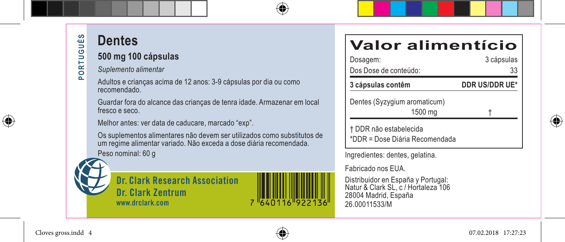## **Dentes**

#### **500 mg 100 cápsulas**

*Suplemento alimentar*

Adultos e crianças acima de 12 anos: 3-9 cápsulas por dia ou como recomendado.

Guardar fora do alcance das crianças de tenra idade. Armazenar em local fresco e seco.

Melhor antes: ver data de caducare, marcado "exp".

Os suplementos alimentares não devem ser utilizados como substitutos de um regime alimentar variado. Não exceda a dose diária recomendada. Peso nominal: 60 g



**Dr. Clark Research Association Dr. Clark Zentrum www.drclark.com**



## **Valor alimentício**

| Dosagem:<br>Dos Dose de conteúdo:                        | 3 cápsulas<br>33<br>DDR US/DDR UE* |  |
|----------------------------------------------------------|------------------------------------|--|
| 3 cápsulas contêm                                        |                                    |  |
| Dentes (Syzygium aromaticum)<br>1500 mg                  |                                    |  |
| † DDR não estabelecida<br>*DDR = Dose Diária Recomendada |                                    |  |

Ingredientes: dentes, gelatina.

Fabricado nos EUA.

Distribuidor en España y Portugal: Natur & Clark SL, c / Hortaleza 106 28004 Madrid, España 26.00011533/M



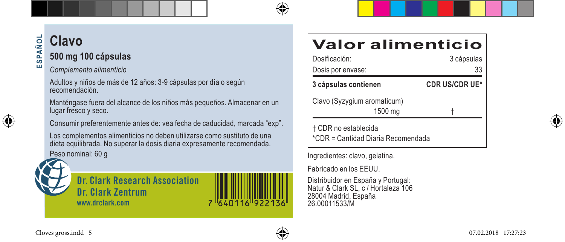#### **ESPAÑOL Clavo** SPAÑOL **500 mg 100 cápsulas** ĩй

*Complemento alimenticio*

Adultos y niños de más de 12 años: 3-9 cápsulas por día o según recomendación.

Manténgase fuera del alcance de los niños más pequeños. Almacenar en un lugar fresco y seco.

Consumir preferentemente antes de: vea fecha de caducidad, marcada "exp".

Los complementos alimenticios no deben utilizarse como sustituto de una dieta equilibrada. No superar la dosis diaria expresamente recomendada. Peso nominal: 60 g



⊕

**Dr. Clark Research Association Dr. Clark Zentrum www.drclark.com**

## **Valor alimenticio**

| Dosificación:<br>Dosis por envase:                         | 3 cápsulas<br>33      |  |
|------------------------------------------------------------|-----------------------|--|
| 3 cápsulas contienen                                       | <b>CDR US/CDR UE*</b> |  |
| Clavo (Syzygium aromaticum)<br>1500 mg                     |                       |  |
| † CDR no establecida<br>*CDR = Cantidad Diaria Recomendada |                       |  |

Ingredientes: clavo, gelatina.

Fabricado en los EEUU.

Distribuidor en España y Portugal: Natur & Clark SL, c / Hortaleza 106 28004 Madrid, España 26.00011533/M





640116 922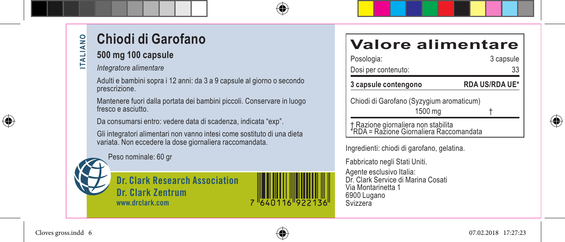# **Chiodi di Garofano**

### **500 mg 100 capsule**

*Integratore alimentare*

Adulti e bambini sopra i 12 anni: da 3 a 9 capsule al giorno o secondo prescrizione.

Mantenere fuori dalla portata dei bambini piccoli. Conservare in luogo fresco e asciutto.

Da consumarsi entro: vedere data di scadenza, indicata "exp".

Gli integratori alimentari non vanno intesi come sostituto di una dieta variata. Non eccedere la dose giornaliera raccomandata.

Peso nominale: 60 gr



**Dr. Clark Research Association Dr. Clark Zentrum www.drclark.com**



## **Valore alimentare**

| Posologia:                                                                     | 3 capsule             |  |
|--------------------------------------------------------------------------------|-----------------------|--|
| Dosi per contenuto:                                                            | 33                    |  |
| 3 capsule contengono                                                           | <b>RDA US/RDA UE*</b> |  |
| Chiodi di Garofano (Syzygium aromaticum)                                       |                       |  |
| 1500 mg                                                                        |                       |  |
| † Razione giornaliera non stabilita<br>*RDA = Razione Giornaliera Raccomandata |                       |  |

Ingredienti: chiodi di garofano, gelatina.

Fabbricato negli Stati Uniti.

Agente esclusivo Italia: Dr. Clark Service di Marina Cosati Via Montarinetta 1 6900 Lugano Svizzera



Cloves gross.indd 6  $\left\{\bigoplus\right\}$  07.02.2018 17:27:23

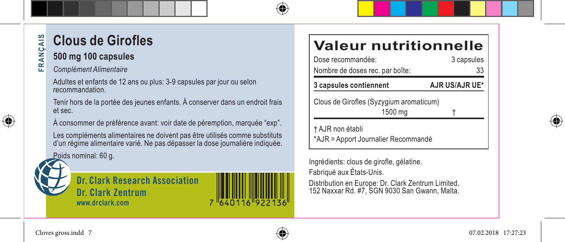#### $\frac{1}{2}$ **Clous de Girofles FRANÇAIS** FRANC

#### **500 mg 100 capsules**

*Complément Alimentaire*

Adultes et enfants de 12 ans ou plus: 3-9 capsules par jour ou selon recommandation.

Tenir hors de la portée des jeunes enfants. À conserver dans un endroit frais et sec.

À consommer de préférence avant: voir date de péremption, marquée "exp".

Les compléments alimentaires ne doivent pas être utilisés comme substituts d'un régime alimentaire varié. Ne pas dépasser la dose journalière indiquée.

Poids nominal: 60 g.

**Dr. Clark Research Association Dr. Clark Zentrum www.drclark.com**

## **Valeur nutritionnelle**

| Dose recommandée:<br>Nombre de doses rec. par boîte:    | 3 capsules<br>33      |
|---------------------------------------------------------|-----------------------|
| 3 capsules contiennent                                  | <b>AJR US/AJR UE*</b> |
| Clous de Girofles (Syzygium aromaticum)                 |                       |
| 1500 mg                                                 |                       |
| † AJR non établi<br>*AJR = Apport Journalier Recommandé |                       |

Ingrédients: clous de girofle, gélatine. Fabriqué aux États-Unis.

Distribution en Europe: Dr. Clark Zentrum Limited, 152 Naxxar Rd. #7, SGN 9030 San Gwann, Malta.